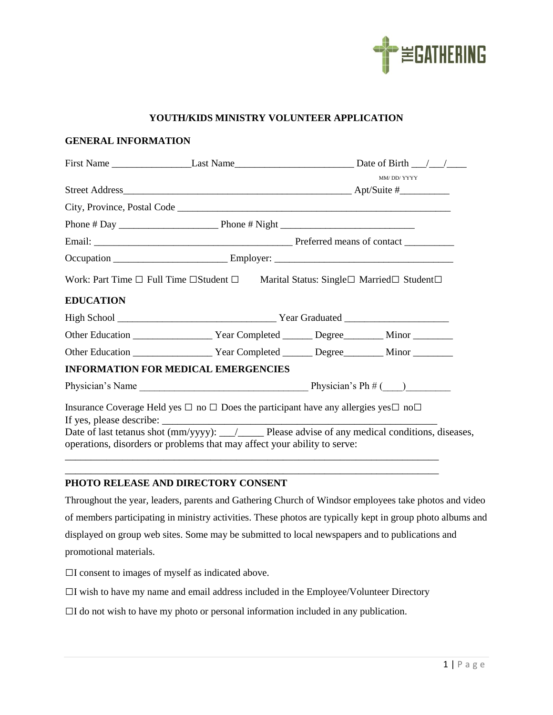

### **YOUTH/KIDS MINISTRY VOLUNTEER APPLICATION**

### **GENERAL INFORMATION**

|                  |                                                                                                                                                                             |  | MM/DD/YYYY |  |
|------------------|-----------------------------------------------------------------------------------------------------------------------------------------------------------------------------|--|------------|--|
|                  |                                                                                                                                                                             |  |            |  |
|                  |                                                                                                                                                                             |  |            |  |
|                  |                                                                                                                                                                             |  |            |  |
|                  |                                                                                                                                                                             |  |            |  |
|                  |                                                                                                                                                                             |  |            |  |
|                  | Work: Part Time $\Box$ Full Time $\Box$ Student $\Box$ Marital Status: Single $\Box$ Married $\Box$ Student $\Box$                                                          |  |            |  |
| <b>EDUCATION</b> |                                                                                                                                                                             |  |            |  |
|                  |                                                                                                                                                                             |  |            |  |
|                  | Other Education ________________________Year Completed _________Degree___________ Minor ___________                                                                         |  |            |  |
|                  | Other Education ________________________Year Completed _________Degree___________ Minor ___________                                                                         |  |            |  |
|                  | <b>INFORMATION FOR MEDICAL EMERGENCIES</b>                                                                                                                                  |  |            |  |
|                  |                                                                                                                                                                             |  |            |  |
|                  | Insurance Coverage Held yes $\Box$ no $\Box$ Does the participant have any allergies yes $\Box$ no $\Box$                                                                   |  |            |  |
|                  |                                                                                                                                                                             |  |            |  |
|                  | Date of last tetanus shot (mm/yyyy): __/____ Please advise of any medical conditions, diseases,<br>operations, disorders or problems that may affect your ability to serve: |  |            |  |

## **PHOTO RELEASE AND DIRECTORY CONSENT**

Throughout the year, leaders, parents and Gathering Church of Windsor employees take photos and video of members participating in ministry activities. These photos are typically kept in group photo albums and displayed on group web sites. Some may be submitted to local newspapers and to publications and promotional materials.

□I consent to images of myself as indicated above.

 $\Box$ I wish to have my name and email address included in the Employee/Volunteer Directory

\_\_\_\_\_\_\_\_\_\_\_\_\_\_\_\_\_\_\_\_\_\_\_\_\_\_\_\_\_\_\_\_\_\_\_\_\_\_\_\_\_\_\_\_\_\_\_\_\_\_\_\_\_\_\_\_\_\_\_\_\_\_\_\_\_\_\_\_\_\_\_\_ \_\_\_\_\_\_\_\_\_\_\_\_\_\_\_\_\_\_\_\_\_\_\_\_\_\_\_\_\_\_\_\_\_\_\_\_\_\_\_\_\_\_\_\_\_\_\_\_\_\_\_\_\_\_\_\_\_\_\_\_\_\_\_\_\_\_\_\_\_\_\_\_

 $\Box$ I do not wish to have my photo or personal information included in any publication.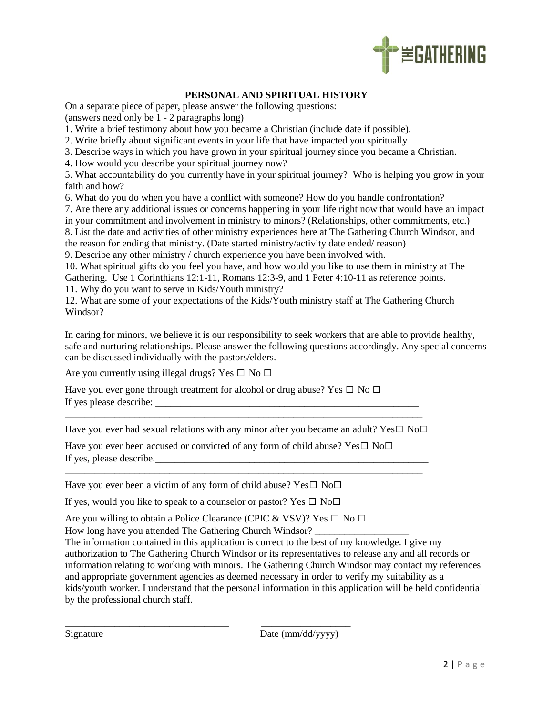

# **PERSONAL AND SPIRITUAL HISTORY**

On a separate piece of paper, please answer the following questions: (answers need only be 1 - 2 paragraphs long)

1. Write a brief testimony about how you became a Christian (include date if possible).

2. Write briefly about significant events in your life that have impacted you spiritually

3. Describe ways in which you have grown in your spiritual journey since you became a Christian.

4. How would you describe your spiritual journey now?

5. What accountability do you currently have in your spiritual journey? Who is helping you grow in your faith and how?

6. What do you do when you have a conflict with someone? How do you handle confrontation?

7. Are there any additional issues or concerns happening in your life right now that would have an impact

in your commitment and involvement in ministry to minors? (Relationships, other commitments, etc.)

8. List the date and activities of other ministry experiences here at The Gathering Church Windsor, and the reason for ending that ministry. (Date started ministry/activity date ended/ reason)

9. Describe any other ministry / church experience you have been involved with.

10. What spiritual gifts do you feel you have, and how would you like to use them in ministry at The Gathering. Use 1 Corinthians 12:1-11, Romans 12:3-9, and 1 Peter 4:10-11 as reference points.

11. Why do you want to serve in Kids/Youth ministry?

12. What are some of your expectations of the Kids/Youth ministry staff at The Gathering Church Windsor?

In caring for minors, we believe it is our responsibility to seek workers that are able to provide healthy, safe and nurturing relationships. Please answer the following questions accordingly. Any special concerns can be discussed individually with the pastors/elders.

Are you currently using illegal drugs? Yes  $\Box$  No  $\Box$ 

Have you ever gone through treatment for alcohol or drug abuse? Yes  $\Box$  No  $\Box$ If yes please describe:

\_\_\_\_\_\_\_\_\_\_\_\_\_\_\_\_\_\_\_\_\_\_\_\_\_\_\_\_\_\_\_\_\_\_\_\_\_\_\_\_\_\_\_\_\_\_\_\_\_\_\_\_\_\_\_\_\_\_\_\_\_\_\_\_\_\_\_\_\_\_\_\_ Have you ever had sexual relations with any minor after you became an adult? Yes $\square$  No $\square$ 

\_\_\_\_\_\_\_\_\_\_\_\_\_\_\_\_\_\_\_\_\_\_\_\_\_\_\_\_\_\_\_\_\_\_\_\_\_\_\_\_\_\_\_\_\_\_\_\_\_\_\_\_\_\_\_\_\_\_\_\_\_\_\_\_\_\_\_\_\_\_\_\_

Have you ever been accused or convicted of any form of child abuse? Yes $\square$  No $\square$ If yes, please describe.

Have you ever been a victim of any form of child abuse? Yes $\square$  No $\square$ 

If yes, would you like to speak to a counselor or pastor? Yes  $\Box$  No $\Box$ 

\_\_\_\_\_\_\_\_\_\_\_\_\_\_\_\_\_\_\_\_\_\_\_\_\_\_\_\_\_\_\_\_\_ \_\_\_\_\_\_\_\_\_\_\_\_\_\_\_\_\_\_

Are you willing to obtain a Police Clearance (CPIC & VSV)? Yes  $\Box$  No  $\Box$ 

How long have you attended The Gathering Church Windsor?

The information contained in this application is correct to the best of my knowledge. I give my authorization to The Gathering Church Windsor or its representatives to release any and all records or information relating to working with minors. The Gathering Church Windsor may contact my references and appropriate government agencies as deemed necessary in order to verify my suitability as a kids/youth worker. I understand that the personal information in this application will be held confidential by the professional church staff.

Signature Date (mm/dd/yyyy)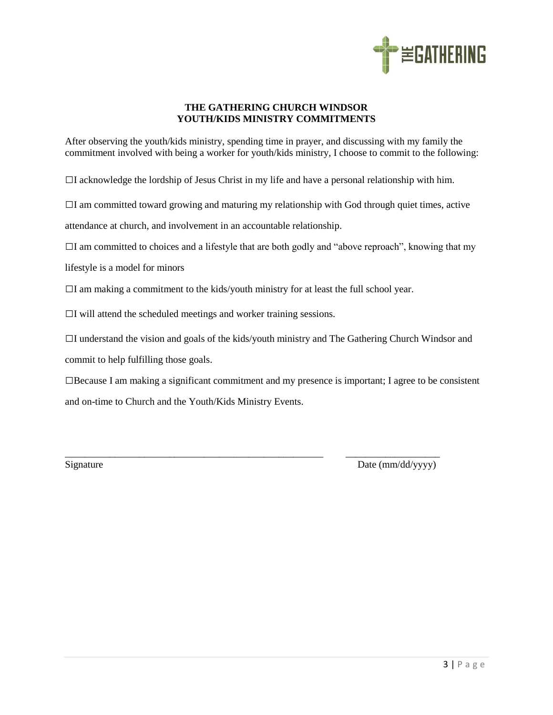

# **THE GATHERING CHURCH WINDSOR YOUTH/KIDS MINISTRY COMMITMENTS**

After observing the youth/kids ministry, spending time in prayer, and discussing with my family the commitment involved with being a worker for youth/kids ministry, I choose to commit to the following:

 $\Box$ I acknowledge the lordship of Jesus Christ in my life and have a personal relationship with him.

 $\Box$ I am committed toward growing and maturing my relationship with God through quiet times, active

attendance at church, and involvement in an accountable relationship.

 $\Box$ I am committed to choices and a lifestyle that are both godly and "above reproach", knowing that my

lifestyle is a model for minors

□I am making a commitment to the kids/youth ministry for at least the full school year.

 $\Box$ I will attend the scheduled meetings and worker training sessions.

 $\Box$ I understand the vision and goals of the kids/youth ministry and The Gathering Church Windsor and

commit to help fulfilling those goals.

 $\Box$ Because I am making a significant commitment and my presence is important; I agree to be consistent and on-time to Church and the Youth/Kids Ministry Events.

\_\_\_\_\_\_\_\_\_\_\_\_\_\_\_\_\_\_\_\_\_\_\_\_\_\_\_\_\_\_\_\_\_\_\_\_\_\_\_\_\_\_\_\_\_\_\_\_\_\_\_\_ \_\_\_\_\_\_\_\_\_\_\_\_\_\_\_\_\_\_\_

Signature Date (mm/dd/yyyy)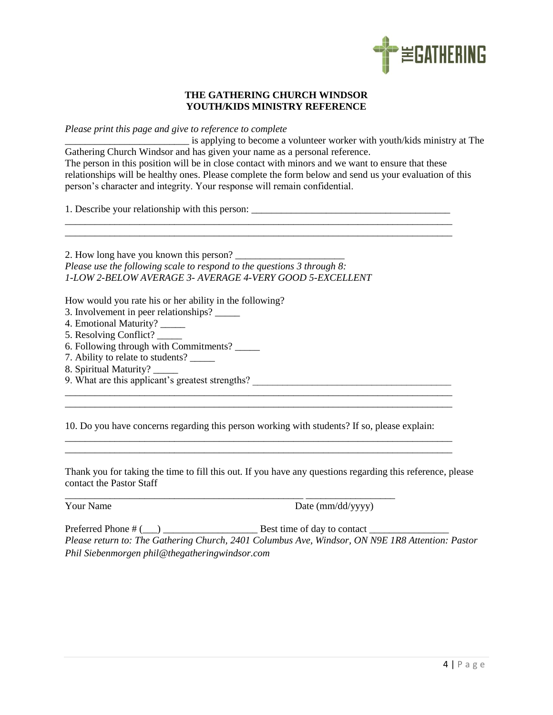

## **THE GATHERING CHURCH WINDSOR YOUTH/KIDS MINISTRY REFERENCE**

*Please print this page and give to reference to complete* 

\_\_\_\_\_\_\_\_\_\_\_\_\_\_\_\_\_\_\_\_\_\_\_\_\_ is applying to become a volunteer worker with youth/kids ministry at The Gathering Church Windsor and has given your name as a personal reference. The person in this position will be in close contact with minors and we want to ensure that these relationships will be healthy ones. Please complete the form below and send us your evaluation of this person's character and integrity. Your response will remain confidential.

1. Describe your relationship with this person:

2. How long have you known this person? *Please use the following scale to respond to the questions 3 through 8: 1-LOW 2-BELOW AVERAGE 3- AVERAGE 4-VERY GOOD 5-EXCELLENT* 

How would you rate his or her ability in the following?

- 3. Involvement in peer relationships? \_\_\_\_\_
- 4. Emotional Maturity? \_\_\_\_\_
- 5. Resolving Conflict? \_\_\_\_\_
- 6. Following through with Commitments? \_\_\_\_\_
- 7. Ability to relate to students? \_\_\_\_\_
- 8. Spiritual Maturity?
- 9. What are this applicant's greatest strengths?

10. Do you have concerns regarding this person working with students? If so, please explain:

\_\_\_\_\_\_\_\_\_\_\_\_\_\_\_\_\_\_\_\_\_\_\_\_\_\_\_\_\_\_\_\_\_\_\_\_\_\_\_\_\_\_\_\_\_\_\_\_ \_\_\_\_\_\_\_\_\_\_\_\_\_\_\_\_\_\_

\_\_\_\_\_\_\_\_\_\_\_\_\_\_\_\_\_\_\_\_\_\_\_\_\_\_\_\_\_\_\_\_\_\_\_\_\_\_\_\_\_\_\_\_\_\_\_\_\_\_\_\_\_\_\_\_\_\_\_\_\_\_\_\_\_\_\_\_\_\_\_\_\_\_\_\_\_\_ \_\_\_\_\_\_\_\_\_\_\_\_\_\_\_\_\_\_\_\_\_\_\_\_\_\_\_\_\_\_\_\_\_\_\_\_\_\_\_\_\_\_\_\_\_\_\_\_\_\_\_\_\_\_\_\_\_\_\_\_\_\_\_\_\_\_\_\_\_\_\_\_\_\_\_\_\_\_

\_\_\_\_\_\_\_\_\_\_\_\_\_\_\_\_\_\_\_\_\_\_\_\_\_\_\_\_\_\_\_\_\_\_\_\_\_\_\_\_\_\_\_\_\_\_\_\_\_\_\_\_\_\_\_\_\_\_\_\_\_\_\_\_\_\_\_\_\_\_\_\_\_\_\_\_\_\_ \_\_\_\_\_\_\_\_\_\_\_\_\_\_\_\_\_\_\_\_\_\_\_\_\_\_\_\_\_\_\_\_\_\_\_\_\_\_\_\_\_\_\_\_\_\_\_\_\_\_\_\_\_\_\_\_\_\_\_\_\_\_\_\_\_\_\_\_\_\_\_\_\_\_\_\_\_\_

Thank you for taking the time to fill this out. If you have any questions regarding this reference, please contact the Pastor Staff

Your Name Date (mm/dd/yyyy)

Preferred Phone # (\_\_\_) \_\_\_\_\_\_\_\_\_\_\_\_\_\_\_\_\_\_\_ Best time of day to contact \_\_\_\_\_\_\_\_\_\_\_\_\_\_\_\_ *Please return to: The Gathering Church, 2401 Columbus Ave, Windsor, ON N9E 1R8 Attention: Pastor Phil Siebenmorgen phil@thegatheringwindsor.com*